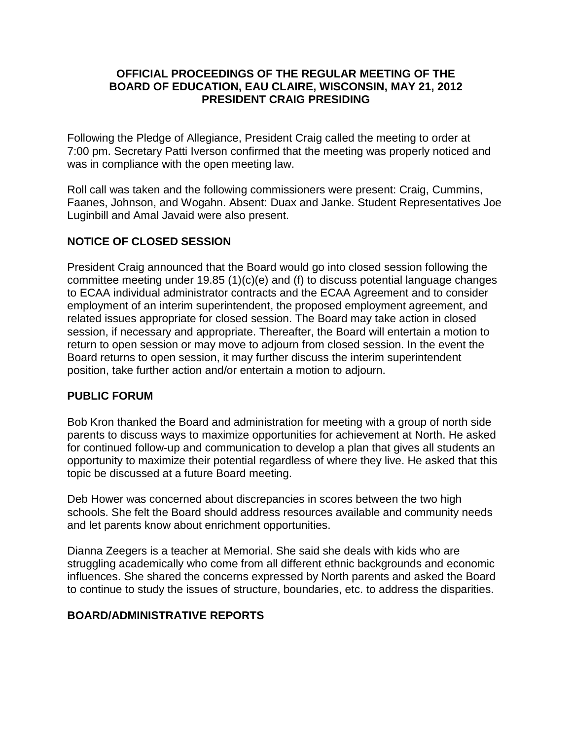## **OFFICIAL PROCEEDINGS OF THE REGULAR MEETING OF THE BOARD OF EDUCATION, EAU CLAIRE, WISCONSIN, MAY 21, 2012 PRESIDENT CRAIG PRESIDING**

Following the Pledge of Allegiance, President Craig called the meeting to order at 7:00 pm. Secretary Patti Iverson confirmed that the meeting was properly noticed and was in compliance with the open meeting law.

Roll call was taken and the following commissioners were present: Craig, Cummins, Faanes, Johnson, and Wogahn. Absent: Duax and Janke. Student Representatives Joe Luginbill and Amal Javaid were also present.

# **NOTICE OF CLOSED SESSION**

President Craig announced that the Board would go into closed session following the committee meeting under 19.85 (1)(c)(e) and (f) to discuss potential language changes to ECAA individual administrator contracts and the ECAA Agreement and to consider employment of an interim superintendent, the proposed employment agreement, and related issues appropriate for closed session. The Board may take action in closed session, if necessary and appropriate. Thereafter, the Board will entertain a motion to return to open session or may move to adjourn from closed session. In the event the Board returns to open session, it may further discuss the interim superintendent position, take further action and/or entertain a motion to adjourn.

## **PUBLIC FORUM**

Bob Kron thanked the Board and administration for meeting with a group of north side parents to discuss ways to maximize opportunities for achievement at North. He asked for continued follow-up and communication to develop a plan that gives all students an opportunity to maximize their potential regardless of where they live. He asked that this topic be discussed at a future Board meeting.

Deb Hower was concerned about discrepancies in scores between the two high schools. She felt the Board should address resources available and community needs and let parents know about enrichment opportunities.

Dianna Zeegers is a teacher at Memorial. She said she deals with kids who are struggling academically who come from all different ethnic backgrounds and economic influences. She shared the concerns expressed by North parents and asked the Board to continue to study the issues of structure, boundaries, etc. to address the disparities.

# **BOARD/ADMINISTRATIVE REPORTS**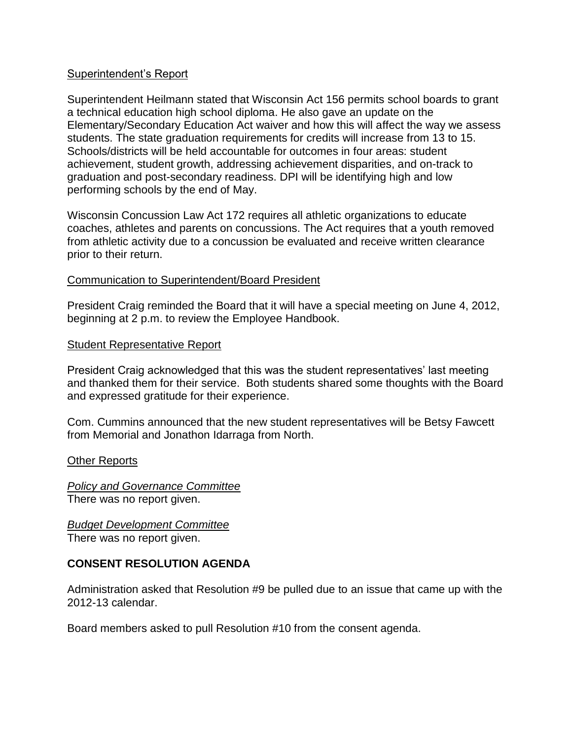## Superintendent's Report

Superintendent Heilmann stated that Wisconsin Act 156 permits school boards to grant a technical education high school diploma. He also gave an update on the Elementary/Secondary Education Act waiver and how this will affect the way we assess students. The state graduation requirements for credits will increase from 13 to 15. Schools/districts will be held accountable for outcomes in four areas: student achievement, student growth, addressing achievement disparities, and on-track to graduation and post-secondary readiness. DPI will be identifying high and low performing schools by the end of May.

Wisconsin Concussion Law Act 172 requires all athletic organizations to educate coaches, athletes and parents on concussions. The Act requires that a youth removed from athletic activity due to a concussion be evaluated and receive written clearance prior to their return.

## Communication to Superintendent/Board President

President Craig reminded the Board that it will have a special meeting on June 4, 2012, beginning at 2 p.m. to review the Employee Handbook.

#### Student Representative Report

President Craig acknowledged that this was the student representatives' last meeting and thanked them for their service. Both students shared some thoughts with the Board and expressed gratitude for their experience.

Com. Cummins announced that the new student representatives will be Betsy Fawcett from Memorial and Jonathon Idarraga from North.

#### Other Reports

*Policy and Governance Committee* There was no report given.

*Budget Development Committee* There was no report given.

#### **CONSENT RESOLUTION AGENDA**

Administration asked that Resolution #9 be pulled due to an issue that came up with the 2012-13 calendar.

Board members asked to pull Resolution #10 from the consent agenda.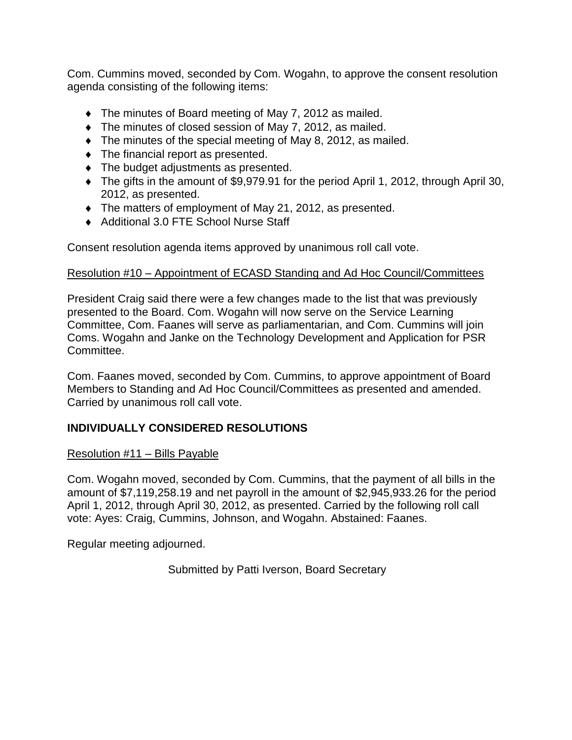Com. Cummins moved, seconded by Com. Wogahn, to approve the consent resolution agenda consisting of the following items:

- The minutes of Board meeting of May 7, 2012 as mailed.
- The minutes of closed session of May 7, 2012, as mailed.
- The minutes of the special meeting of May 8, 2012, as mailed.
- $\bullet$  The financial report as presented.
- The budget adjustments as presented.
- The gifts in the amount of \$9,979.91 for the period April 1, 2012, through April 30, 2012, as presented.
- The matters of employment of May 21, 2012, as presented.
- ◆ Additional 3.0 FTE School Nurse Staff

Consent resolution agenda items approved by unanimous roll call vote.

# Resolution #10 – Appointment of ECASD Standing and Ad Hoc Council/Committees

President Craig said there were a few changes made to the list that was previously presented to the Board. Com. Wogahn will now serve on the Service Learning Committee, Com. Faanes will serve as parliamentarian, and Com. Cummins will join Coms. Wogahn and Janke on the Technology Development and Application for PSR Committee.

Com. Faanes moved, seconded by Com. Cummins, to approve appointment of Board Members to Standing and Ad Hoc Council/Committees as presented and amended. Carried by unanimous roll call vote.

# **INDIVIDUALLY CONSIDERED RESOLUTIONS**

# Resolution #11 – Bills Payable

Com. Wogahn moved, seconded by Com. Cummins, that the payment of all bills in the amount of \$7,119,258.19 and net payroll in the amount of \$2,945,933.26 for the period April 1, 2012, through April 30, 2012, as presented. Carried by the following roll call vote: Ayes: Craig, Cummins, Johnson, and Wogahn. Abstained: Faanes.

Regular meeting adjourned.

Submitted by Patti Iverson, Board Secretary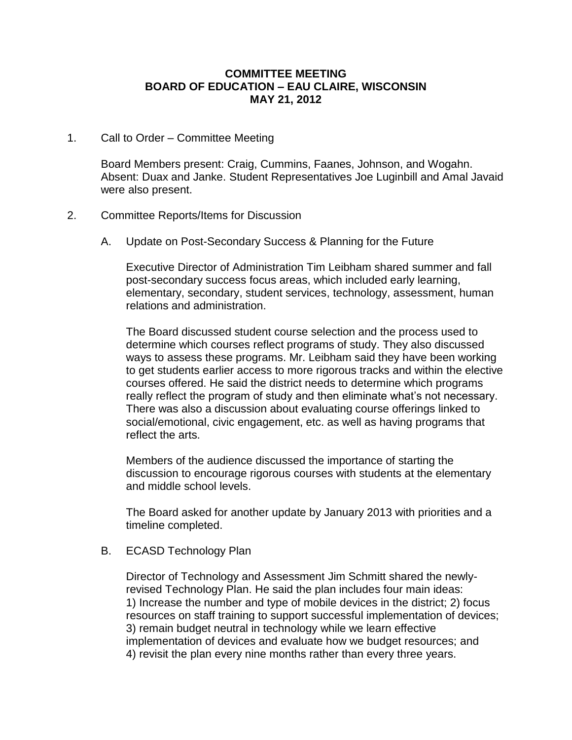## **COMMITTEE MEETING BOARD OF EDUCATION – EAU CLAIRE, WISCONSIN MAY 21, 2012**

1. Call to Order – Committee Meeting

Board Members present: Craig, Cummins, Faanes, Johnson, and Wogahn. Absent: Duax and Janke. Student Representatives Joe Luginbill and Amal Javaid were also present.

- 2. Committee Reports/Items for Discussion
	- A. Update on Post-Secondary Success & Planning for the Future

Executive Director of Administration Tim Leibham shared summer and fall post-secondary success focus areas, which included early learning, elementary, secondary, student services, technology, assessment, human relations and administration.

The Board discussed student course selection and the process used to determine which courses reflect programs of study. They also discussed ways to assess these programs. Mr. Leibham said they have been working to get students earlier access to more rigorous tracks and within the elective courses offered. He said the district needs to determine which programs really reflect the program of study and then eliminate what's not necessary. There was also a discussion about evaluating course offerings linked to social/emotional, civic engagement, etc. as well as having programs that reflect the arts.

Members of the audience discussed the importance of starting the discussion to encourage rigorous courses with students at the elementary and middle school levels.

The Board asked for another update by January 2013 with priorities and a timeline completed.

B. ECASD Technology Plan

Director of Technology and Assessment Jim Schmitt shared the newlyrevised Technology Plan. He said the plan includes four main ideas: 1) Increase the number and type of mobile devices in the district; 2) focus resources on staff training to support successful implementation of devices; 3) remain budget neutral in technology while we learn effective implementation of devices and evaluate how we budget resources; and 4) revisit the plan every nine months rather than every three years.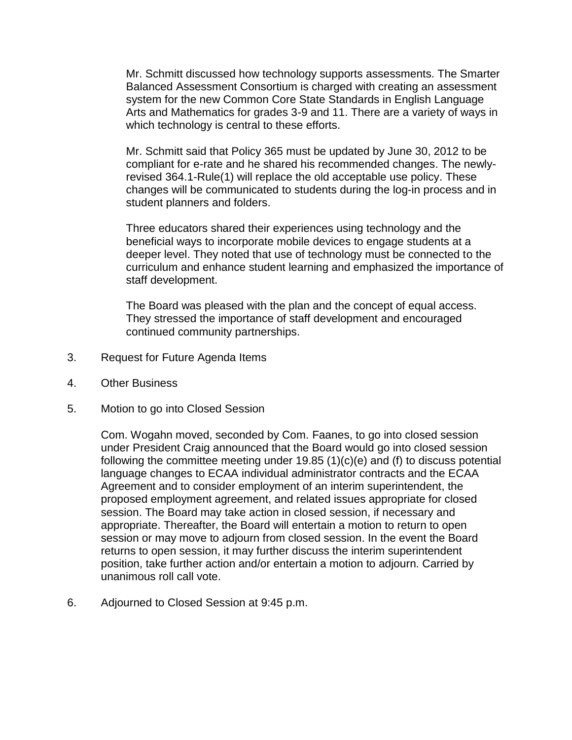Mr. Schmitt discussed how technology supports assessments. The Smarter Balanced Assessment Consortium is charged with creating an assessment system for the new Common Core State Standards in English Language Arts and Mathematics for grades 3-9 and 11. There are a variety of ways in which technology is central to these efforts.

Mr. Schmitt said that Policy 365 must be updated by June 30, 2012 to be compliant for e-rate and he shared his recommended changes. The newlyrevised 364.1-Rule(1) will replace the old acceptable use policy. These changes will be communicated to students during the log-in process and in student planners and folders.

Three educators shared their experiences using technology and the beneficial ways to incorporate mobile devices to engage students at a deeper level. They noted that use of technology must be connected to the curriculum and enhance student learning and emphasized the importance of staff development.

The Board was pleased with the plan and the concept of equal access. They stressed the importance of staff development and encouraged continued community partnerships.

- 3. Request for Future Agenda Items
- 4. Other Business
- 5. Motion to go into Closed Session

Com. Wogahn moved, seconded by Com. Faanes, to go into closed session under President Craig announced that the Board would go into closed session following the committee meeting under 19.85 (1)(c)(e) and (f) to discuss potential language changes to ECAA individual administrator contracts and the ECAA Agreement and to consider employment of an interim superintendent, the proposed employment agreement, and related issues appropriate for closed session. The Board may take action in closed session, if necessary and appropriate. Thereafter, the Board will entertain a motion to return to open session or may move to adjourn from closed session. In the event the Board returns to open session, it may further discuss the interim superintendent position, take further action and/or entertain a motion to adjourn. Carried by unanimous roll call vote.

6. Adjourned to Closed Session at 9:45 p.m.